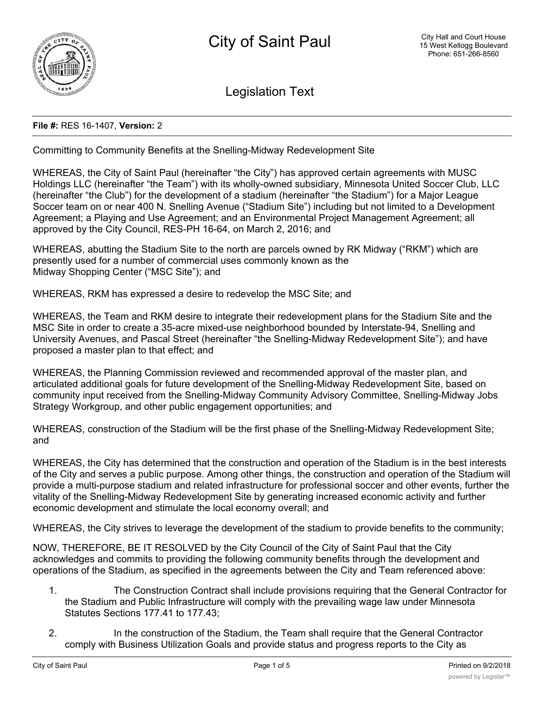

Legislation Text

## **File #:** RES 16-1407, **Version:** 2

Committing to Community Benefits at the Snelling-Midway Redevelopment Site

WHEREAS, the City of Saint Paul (hereinafter "the City") has approved certain agreements with MUSC Holdings LLC (hereinafter "the Team") with its wholly-owned subsidiary, Minnesota United Soccer Club, LLC (hereinafter "the Club") for the development of a stadium (hereinafter "the Stadium") for a Major League Soccer team on or near 400 N. Snelling Avenue ("Stadium Site") including but not limited to a Development Agreement; a Playing and Use Agreement; and an Environmental Project Management Agreement; all approved by the City Council, RES-PH 16-64, on March 2, 2016; and

WHEREAS, abutting the Stadium Site to the north are parcels owned by RK Midway ("RKM") which are presently used for a number of commercial uses commonly known as the Midway Shopping Center ("MSC Site"); and

WHEREAS, RKM has expressed a desire to redevelop the MSC Site; and

WHEREAS, the Team and RKM desire to integrate their redevelopment plans for the Stadium Site and the MSC Site in order to create a 35-acre mixed-use neighborhood bounded by Interstate-94, Snelling and University Avenues, and Pascal Street (hereinafter "the Snelling-Midway Redevelopment Site"); and have proposed a master plan to that effect; and

WHEREAS, the Planning Commission reviewed and recommended approval of the master plan, and articulated additional goals for future development of the Snelling-Midway Redevelopment Site, based on community input received from the Snelling-Midway Community Advisory Committee, Snelling-Midway Jobs Strategy Workgroup, and other public engagement opportunities; and

WHEREAS, construction of the Stadium will be the first phase of the Snelling-Midway Redevelopment Site; and

WHEREAS, the City has determined that the construction and operation of the Stadium is in the best interests of the City and serves a public purpose. Among other things, the construction and operation of the Stadium will provide a multi-purpose stadium and related infrastructure for professional soccer and other events, further the vitality of the Snelling-Midway Redevelopment Site by generating increased economic activity and further economic development and stimulate the local economy overall; and

WHEREAS, the City strives to leverage the development of the stadium to provide benefits to the community;

NOW, THEREFORE, BE IT RESOLVED by the City Council of the City of Saint Paul that the City acknowledges and commits to providing the following community benefits through the development and operations of the Stadium, as specified in the agreements between the City and Team referenced above:

- 1. The Construction Contract shall include provisions requiring that the General Contractor for the Stadium and Public Infrastructure will comply with the prevailing wage law under Minnesota Statutes Sections 177.41 to 177.43;
- 2. In the construction of the Stadium, the Team shall require that the General Contractor comply with Business Utilization Goals and provide status and progress reports to the City as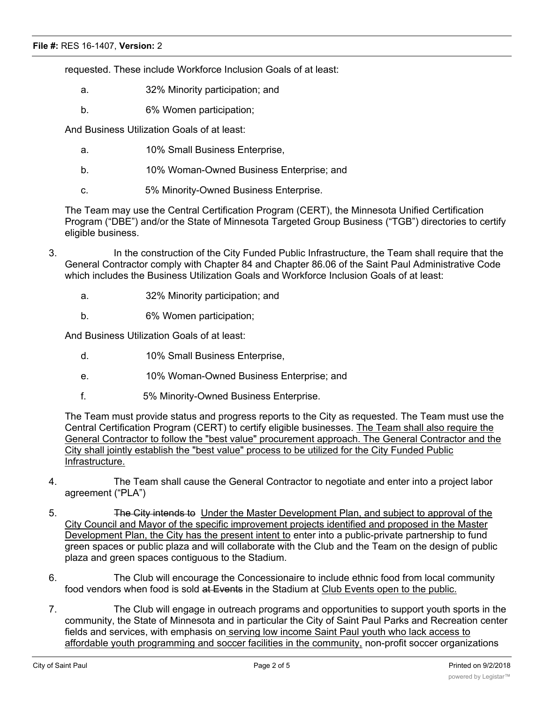requested. These include Workforce Inclusion Goals of at least:

- a. 32% Minority participation; and
- b. 6% Women participation;

And Business Utilization Goals of at least:

- a. 10% Small Business Enterprise,
- b. 10% Woman-Owned Business Enterprise; and
- c. 5% Minority-Owned Business Enterprise.

The Team may use the Central Certification Program (CERT), the Minnesota Unified Certification Program ("DBE") and/or the State of Minnesota Targeted Group Business ("TGB") directories to certify eligible business.

- 3. In the construction of the City Funded Public Infrastructure, the Team shall require that the General Contractor comply with Chapter 84 and Chapter 86.06 of the Saint Paul Administrative Code which includes the Business Utilization Goals and Workforce Inclusion Goals of at least:
	- a. 32% Minority participation; and
	- b. 6% Women participation;

And Business Utilization Goals of at least:

- d. 10% Small Business Enterprise,
- e. 10% Woman-Owned Business Enterprise; and
- f. 5% Minority-Owned Business Enterprise.

The Team must provide status and progress reports to the City as requested. The Team must use the Central Certification Program (CERT) to certify eligible businesses. The Team shall also require the General Contractor to follow the "best value" procurement approach. The General Contractor and the City shall jointly establish the "best value" process to be utilized for the City Funded Public Infrastructure.

- 4. The Team shall cause the General Contractor to negotiate and enter into a project labor agreement ("PLA")
- 5. **The City intends to Under the Master Development Plan, and subject to approval of the** City Council and Mayor of the specific improvement projects identified and proposed in the Master Development Plan, the City has the present intent to enter into a public-private partnership to fund green spaces or public plaza and will collaborate with the Club and the Team on the design of public plaza and green spaces contiguous to the Stadium.
- 6. The Club will encourage the Concessionaire to include ethnic food from local community food vendors when food is sold at Events in the Stadium at Club Events open to the public.
- 7. The Club will engage in outreach programs and opportunities to support youth sports in the community, the State of Minnesota and in particular the City of Saint Paul Parks and Recreation center fields and services, with emphasis on serving low income Saint Paul youth who lack access to affordable youth programming and soccer facilities in the community, non-profit soccer organizations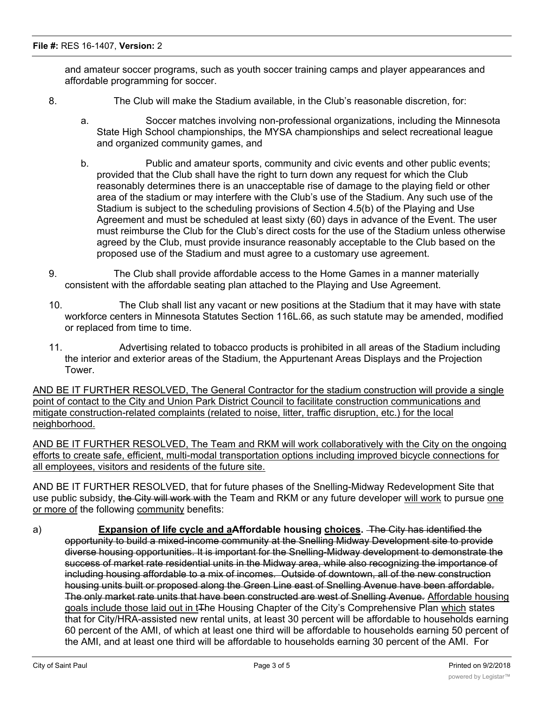and amateur soccer programs, such as youth soccer training camps and player appearances and affordable programming for soccer.

- 8. The Club will make the Stadium available, in the Club's reasonable discretion, for:
	- a. Soccer matches involving non-professional organizations, including the Minnesota State High School championships, the MYSA championships and select recreational league and organized community games, and
	- b. Public and amateur sports, community and civic events and other public events; provided that the Club shall have the right to turn down any request for which the Club reasonably determines there is an unacceptable rise of damage to the playing field or other area of the stadium or may interfere with the Club's use of the Stadium. Any such use of the Stadium is subject to the scheduling provisions of Section 4.5(b) of the Playing and Use Agreement and must be scheduled at least sixty (60) days in advance of the Event. The user must reimburse the Club for the Club's direct costs for the use of the Stadium unless otherwise agreed by the Club, must provide insurance reasonably acceptable to the Club based on the proposed use of the Stadium and must agree to a customary use agreement.
- 9. The Club shall provide affordable access to the Home Games in a manner materially consistent with the affordable seating plan attached to the Playing and Use Agreement.
- 10. The Club shall list any vacant or new positions at the Stadium that it may have with state workforce centers in Minnesota Statutes Section 116L.66, as such statute may be amended, modified or replaced from time to time.
- 11. Advertising related to tobacco products is prohibited in all areas of the Stadium including the interior and exterior areas of the Stadium, the Appurtenant Areas Displays and the Projection Tower.

AND BE IT FURTHER RESOLVED, The General Contractor for the stadium construction will provide a single point of contact to the City and Union Park District Council to facilitate construction communications and mitigate construction-related complaints (related to noise, litter, traffic disruption, etc.) for the local neighborhood.

AND BE IT FURTHER RESOLVED, The Team and RKM will work collaboratively with the City on the ongoing efforts to create safe, efficient, multi-modal transportation options including improved bicycle connections for all employees, visitors and residents of the future site.

AND BE IT FURTHER RESOLVED, that for future phases of the Snelling-Midway Redevelopment Site that use public subsidy, the City will work with the Team and RKM or any future developer will work to pursue one or more of the following community benefits:

a) **Expansion of life cycle and aAffordable housing choices.** The City has identified the opportunity to build a mixed-income community at the Snelling Midway Development site to provide diverse housing opportunities. It is important for the Snelling-Midway development to demonstrate the success of market rate residential units in the Midway area, while also recognizing the importance of including housing affordable to a mix of incomes. Outside of downtown, all of the new construction housing units built or proposed along the Green Line east of Snelling Avenue have been affordable. The only market rate units that have been constructed are west of Snelling Avenue. Affordable housing goals include those laid out in tThe Housing Chapter of the City's Comprehensive Plan which states that for City/HRA-assisted new rental units, at least 30 percent will be affordable to households earning 60 percent of the AMI, of which at least one third will be affordable to households earning 50 percent of the AMI, and at least one third will be affordable to households earning 30 percent of the AMI. For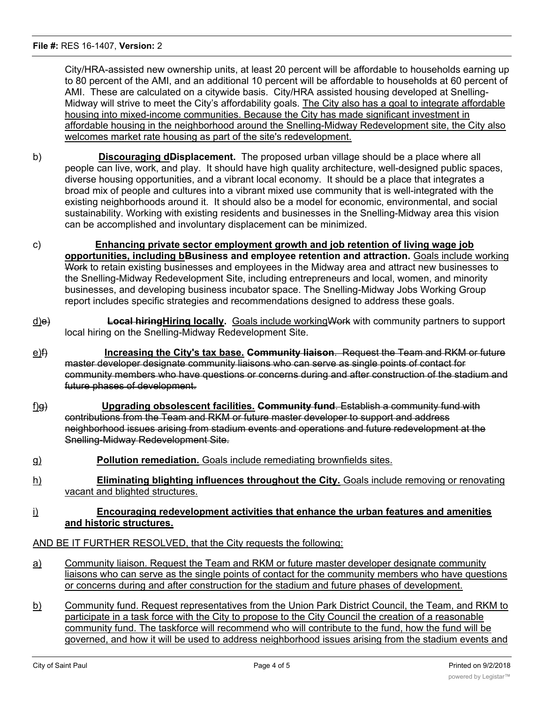City/HRA-assisted new ownership units, at least 20 percent will be affordable to households earning up to 80 percent of the AMI, and an additional 10 percent will be affordable to households at 60 percent of AMI. These are calculated on a citywide basis. City/HRA assisted housing developed at Snelling-Midway will strive to meet the City's affordability goals. The City also has a goal to integrate affordable housing into mixed-income communities. Because the City has made significant investment in affordable housing in the neighborhood around the Snelling-Midway Redevelopment site, the City also welcomes market rate housing as part of the site's redevelopment.

- b) **Discouraging dDisplacement.** The proposed urban village should be a place where all people can live, work, and play. It should have high quality architecture, well-designed public spaces, diverse housing opportunities, and a vibrant local economy. It should be a place that integrates a broad mix of people and cultures into a vibrant mixed use community that is well-integrated with the existing neighborhoods around it. It should also be a model for economic, environmental, and social sustainability. Working with existing residents and businesses in the Snelling-Midway area this vision can be accomplished and involuntary displacement can be minimized.
- c) **Enhancing private sector employment growth and job retention of living wage job opportunities, including bBusiness and employee retention and attraction.** Goals include working Work to retain existing businesses and employees in the Midway area and attract new businesses to the Snelling-Midway Redevelopment Site, including entrepreneurs and local, women, and minority businesses, and developing business incubator space. The Snelling-Midway Jobs Working Group report includes specific strategies and recommendations designed to address these goals.
- d)e) **Local hiringHiring locally.** Goals include workingWork with community partners to support local hiring on the Snelling-Midway Redevelopment Site.
- e)f) **Increasing the City's tax base. Community liaison**. Request the Team and RKM or future master developer designate community liaisons who can serve as single points of contact for community members who have questions or concerns during and after construction of the stadium and future phases of development.
- f)g) **Upgrading obsolescent facilities. Community fund**. Establish a community fund with contributions from the Team and RKM or future master developer to support and address neighborhood issues arising from stadium events and operations and future redevelopment at the Snelling-Midway Redevelopment Site.
- g) **Pollution remediation.** Goals include remediating brownfields sites.
- h) **Eliminating blighting influences throughout the City.** Goals include removing or renovating vacant and blighted structures.

## i) **Encouraging redevelopment activities that enhance the urban features and amenities and historic structures.**

## AND BE IT FURTHER RESOLVED, that the City requests the following:

- a) Community liaison. Request the Team and RKM or future master developer designate community liaisons who can serve as the single points of contact for the community members who have questions or concerns during and after construction for the stadium and future phases of development.
- b) Community fund. Request representatives from the Union Park District Council, the Team, and RKM to participate in a task force with the City to propose to the City Council the creation of a reasonable community fund. The taskforce will recommend who will contribute to the fund, how the fund will be governed, and how it will be used to address neighborhood issues arising from the stadium events and